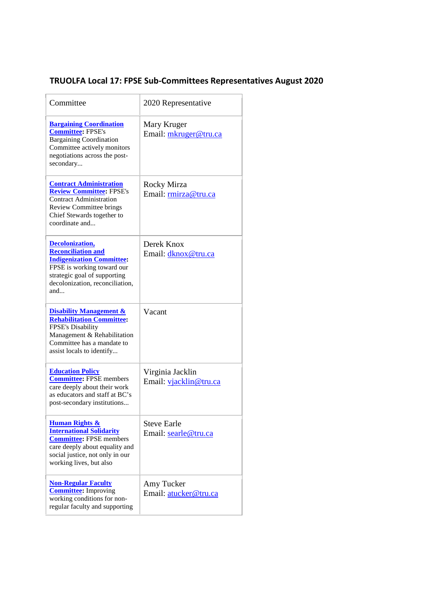## **TRUOLFA Local 17: FPSE Sub-Committees Representatives August 2020**

| Committee                                                                                                                                                                                       | 2020 Representative                        |
|-------------------------------------------------------------------------------------------------------------------------------------------------------------------------------------------------|--------------------------------------------|
| <b>Bargaining Coordination</b><br><b>Committee: FPSE's</b><br><b>Bargaining Coordination</b><br>Committee actively monitors<br>negotiations across the post-<br>secondary                       | Mary Kruger<br>Email: mkruger@tru.ca       |
| <b>Contract Administration</b><br><b>Review Committee: FPSE's</b><br><b>Contract Administration</b><br><b>Review Committee brings</b><br>Chief Stewards together to<br>coordinate and           | Rocky Mirza<br>Email: rmirza@tru.ca        |
| <b>Decolonization,</b><br><b>Reconciliation and</b><br><b>Indigenization Committee:</b><br>FPSE is working toward our<br>strategic goal of supporting<br>decolonization, reconciliation,<br>and | Derek Knox<br>Email: dknox@tru.ca          |
| <b>Disability Management &amp;</b><br><b>Rehabilitation Committee:</b><br>FPSE's Disability<br>Management & Rehabilitation<br>Committee has a mandate to<br>assist locals to identify           | Vacant                                     |
| <b>Education Policy</b><br><b>Committee: FPSE members</b><br>care deeply about their work<br>as educators and staff at BC's<br>post-secondary institutions                                      | Virginia Jacklin<br>Email: vjacklin@tru.ca |
| <b>Human Rights &amp;</b><br><b>International Solidarity</b><br><b>Committee:</b> FPSE members<br>care deeply about equality and<br>social justice, not only in our<br>working lives, but also  | <b>Steve Earle</b><br>Email: searle@tru.ca |
| <b>Non-Regular Faculty</b><br><b>Committee:</b> Improving<br>working conditions for non-<br>regular faculty and supporting                                                                      | Amy Tucker<br>Email: atucker@tru.ca        |